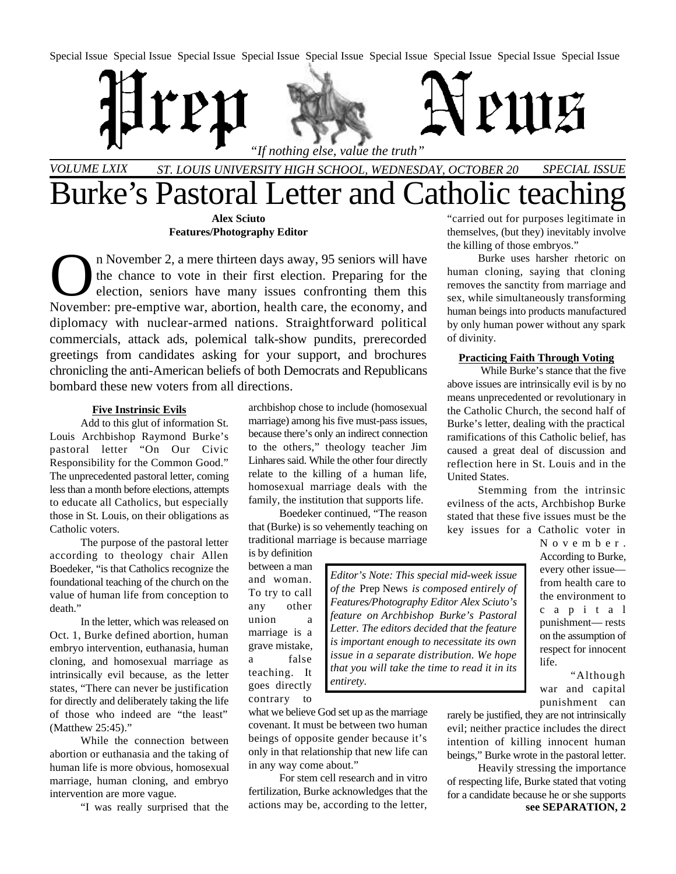Special Issue Special Issue Special Issue Special Issue Special Issue Special Issue Special Issue Special Issue Special Issue



# *VOLUME LXIX ST. LOUIS UNIVERSITY HIGH SCHOOL, WEDNESDAY, OCTOBER 20 SPECIAL ISSUE* Burke's Pastoral Letter and Catholic teaching

**Alex Sciuto Features/Photography Editor**

In November 2, a mere thirteen days away, 95 seniors will have<br>the chance to vote in their first election. Preparing for the<br>election, seniors have many issues confronting them this<br>November: pre-emptive war, abortion, hea n November 2, a mere thirteen days away, 95 seniors will have the chance to vote in their first election. Preparing for the election, seniors have many issues confronting them this diplomacy with nuclear-armed nations. Straightforward political commercials, attack ads, polemical talk-show pundits, prerecorded greetings from candidates asking for your support, and brochures chronicling the anti-American beliefs of both Democrats and Republicans bombard these new voters from all directions.

# **Five Instrinsic Evils**

Add to this glut of information St. Louis Archbishop Raymond Burke's pastoral letter "On Our Civic Responsibility for the Common Good." The unprecedented pastoral letter, coming less than a month before elections, attempts to educate all Catholics, but especially those in St. Louis, on their obligations as Catholic voters.

The purpose of the pastoral letter according to theology chair Allen Boedeker, "is that Catholics recognize the foundational teaching of the church on the value of human life from conception to death."

In the letter, which was released on Oct. 1, Burke defined abortion, human embryo intervention, euthanasia, human cloning, and homosexual marriage as intrinsically evil because, as the letter states, "There can never be justification for directly and deliberately taking the life of those who indeed are "the least" (Matthew 25:45)."

While the connection between abortion or euthanasia and the taking of human life is more obvious, homosexual marriage, human cloning, and embryo intervention are more vague.

"I was really surprised that the

archbishop chose to include (homosexual marriage) among his five must-pass issues, because there's only an indirect connection to the others," theology teacher Jim Linhares said. While the other four directly relate to the killing of a human life, homosexual marriage deals with the family, the institution that supports life.

Boedeker continued, "The reason that (Burke) is so vehemently teaching on traditional marriage is because marriage

is by definition between a man and woman. To try to call any other union a marriage is a grave mistake, a false teaching. It goes directly contrary to

*Editor's Note: This special mid-week issue of the* Prep News *is composed entirely of Features/Photography Editor Alex Sciuto's feature on Archbishop Burke's Pastoral Letter. The editors decided that the feature is important enough to necessitate its own issue in a separate distribution. We hope that you will take the time to read it in its entirety.*

what we believe God set up as the marriage covenant. It must be between two human beings of opposite gender because it's only in that relationship that new life can in any way come about."

For stem cell research and in vitro fertilization, Burke acknowledges that the actions may be, according to the letter,

"carried out for purposes legitimate in themselves, (but they) inevitably involve the killing of those embryos."

Burke uses harsher rhetoric on human cloning, saying that cloning removes the sanctity from marriage and sex, while simultaneously transforming human beings into products manufactured by only human power without any spark of divinity.

# **Practicing Faith Through Voting**

 While Burke's stance that the five above issues are intrinsically evil is by no means unprecedented or revolutionary in the Catholic Church, the second half of Burke's letter, dealing with the practical ramifications of this Catholic belief, has caused a great deal of discussion and reflection here in St. Louis and in the United States.

Stemming from the intrinsic evilness of the acts, Archbishop Burke stated that these five issues must be the key issues for a Catholic voter in

> N o v e m b e r . According to Burke, every other issue from health care to the environment to c a p i t a l punishment— rests on the assumption of respect for innocent life.

> "Although war and capital punishment can

rarely be justified, they are not intrinsically evil; neither practice includes the direct intention of killing innocent human beings," Burke wrote in the pastoral letter.

**see SEPARATION, 2** Heavily stressing the importance of respecting life, Burke stated that voting for a candidate because he or she supports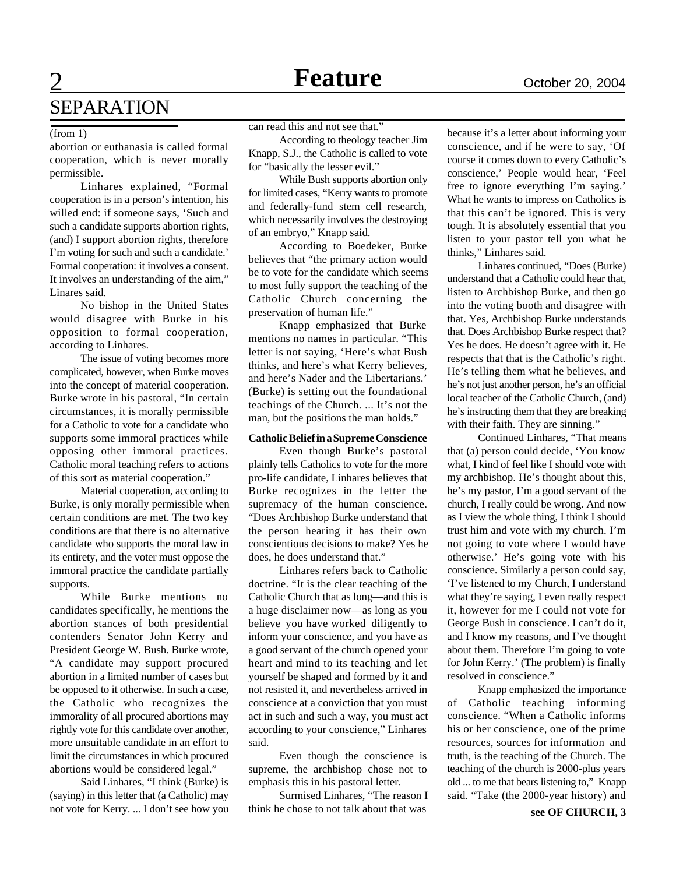# SEPARATION

# (from 1)

abortion or euthanasia is called formal cooperation, which is never morally permissible.

Linhares explained, "Formal cooperation is in a person's intention, his willed end: if someone says, 'Such and such a candidate supports abortion rights, (and) I support abortion rights, therefore I'm voting for such and such a candidate.' Formal cooperation: it involves a consent. It involves an understanding of the aim," Linares said.

No bishop in the United States would disagree with Burke in his opposition to formal cooperation, according to Linhares.

The issue of voting becomes more complicated, however, when Burke moves into the concept of material cooperation. Burke wrote in his pastoral, "In certain circumstances, it is morally permissible for a Catholic to vote for a candidate who supports some immoral practices while opposing other immoral practices. Catholic moral teaching refers to actions of this sort as material cooperation."

Material cooperation, according to Burke, is only morally permissible when certain conditions are met. The two key conditions are that there is no alternative candidate who supports the moral law in its entirety, and the voter must oppose the immoral practice the candidate partially supports.

While Burke mentions no candidates specifically, he mentions the abortion stances of both presidential contenders Senator John Kerry and President George W. Bush. Burke wrote, "A candidate may support procured abortion in a limited number of cases but be opposed to it otherwise. In such a case, the Catholic who recognizes the immorality of all procured abortions may rightly vote for this candidate over another, more unsuitable candidate in an effort to limit the circumstances in which procured abortions would be considered legal."

Said Linhares, "I think (Burke) is (saying) in this letter that (a Catholic) may not vote for Kerry. ... I don't see how you can read this and not see that."

According to theology teacher Jim Knapp, S.J., the Catholic is called to vote for "basically the lesser evil."

While Bush supports abortion only for limited cases, "Kerry wants to promote and federally-fund stem cell research, which necessarily involves the destroying of an embryo," Knapp said.

According to Boedeker, Burke believes that "the primary action would be to vote for the candidate which seems to most fully support the teaching of the Catholic Church concerning the preservation of human life."

Knapp emphasized that Burke mentions no names in particular. "This letter is not saying, 'Here's what Bush thinks, and here's what Kerry believes, and here's Nader and the Libertarians.' (Burke) is setting out the foundational teachings of the Church. ... It's not the man, but the positions the man holds."

# **CatholicBeliefinaSupremeConscience**

Even though Burke's pastoral plainly tells Catholics to vote for the more pro-life candidate, Linhares believes that Burke recognizes in the letter the supremacy of the human conscience. "Does Archbishop Burke understand that the person hearing it has their own conscientious decisions to make? Yes he does, he does understand that."

Linhares refers back to Catholic doctrine. "It is the clear teaching of the Catholic Church that as long—and this is a huge disclaimer now—as long as you believe you have worked diligently to inform your conscience, and you have as a good servant of the church opened your heart and mind to its teaching and let yourself be shaped and formed by it and not resisted it, and nevertheless arrived in conscience at a conviction that you must act in such and such a way, you must act according to your conscience," Linhares said.

Even though the conscience is supreme, the archbishop chose not to emphasis this in his pastoral letter.

Surmised Linhares, "The reason I think he chose to not talk about that was

because it's a letter about informing your conscience, and if he were to say, 'Of course it comes down to every Catholic's conscience,' People would hear, 'Feel free to ignore everything I'm saying.' What he wants to impress on Catholics is that this can't be ignored. This is very tough. It is absolutely essential that you listen to your pastor tell you what he thinks," Linhares said.

Linhares continued, "Does (Burke) understand that a Catholic could hear that, listen to Archbishop Burke, and then go into the voting booth and disagree with that. Yes, Archbishop Burke understands that. Does Archbishop Burke respect that? Yes he does. He doesn't agree with it. He respects that that is the Catholic's right. He's telling them what he believes, and he's not just another person, he's an official local teacher of the Catholic Church, (and) he's instructing them that they are breaking with their faith. They are sinning."

Continued Linhares, "That means that (a) person could decide, 'You know what, I kind of feel like I should vote with my archbishop. He's thought about this, he's my pastor, I'm a good servant of the church, I really could be wrong. And now as I view the whole thing, I think I should trust him and vote with my church. I'm not going to vote where I would have otherwise.' He's going vote with his conscience. Similarly a person could say, 'I've listened to my Church, I understand what they're saying, I even really respect it, however for me I could not vote for George Bush in conscience. I can't do it, and I know my reasons, and I've thought about them. Therefore I'm going to vote for John Kerry.' (The problem) is finally resolved in conscience."

Knapp emphasized the importance of Catholic teaching informing conscience. "When a Catholic informs his or her conscience, one of the prime resources, sources for information and truth, is the teaching of the Church. The teaching of the church is 2000-plus years old ... to me that bears listening to," Knapp said. "Take (the 2000-year history) and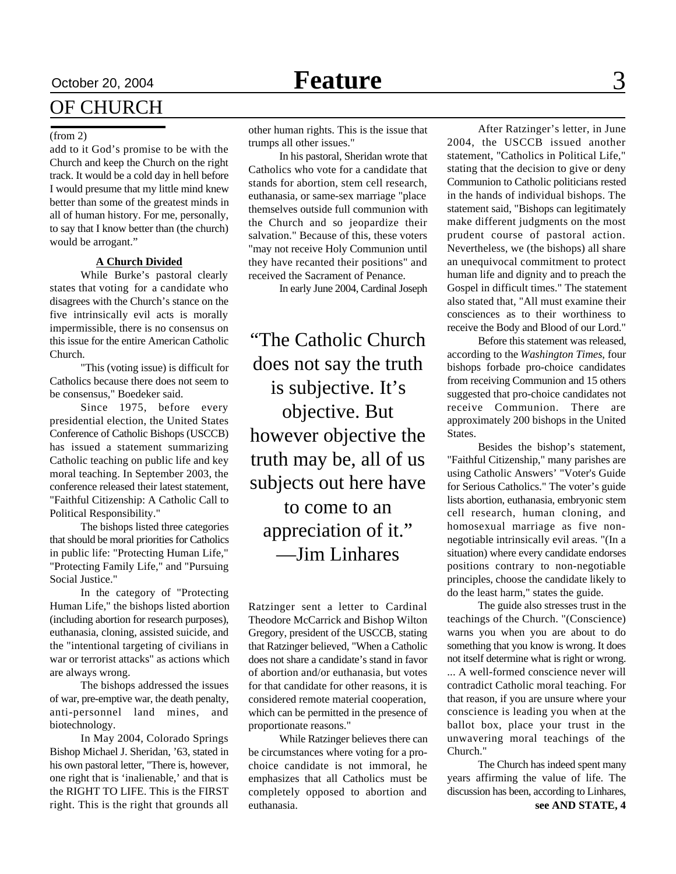# October 20, 2004 **Feature** 3

# OF CHURCH

### (from 2)

add to it God's promise to be with the Church and keep the Church on the right track. It would be a cold day in hell before I would presume that my little mind knew better than some of the greatest minds in all of human history. For me, personally, to say that I know better than (the church) would be arrogant."

# **A Church Divided**

While Burke's pastoral clearly states that voting for a candidate who disagrees with the Church's stance on the five intrinsically evil acts is morally impermissible, there is no consensus on this issue for the entire American Catholic Church.

"This (voting issue) is difficult for Catholics because there does not seem to be consensus," Boedeker said.

Since 1975, before every presidential election, the United States Conference of Catholic Bishops (USCCB) has issued a statement summarizing Catholic teaching on public life and key moral teaching. In September 2003, the conference released their latest statement, "Faithful Citizenship: A Catholic Call to Political Responsibility."

The bishops listed three categories that should be moral priorities for Catholics in public life: "Protecting Human Life," "Protecting Family Life," and "Pursuing Social Justice."

In the category of "Protecting Human Life," the bishops listed abortion (including abortion for research purposes), euthanasia, cloning, assisted suicide, and the "intentional targeting of civilians in war or terrorist attacks" as actions which are always wrong.

The bishops addressed the issues of war, pre-emptive war, the death penalty, anti-personnel land mines, and biotechnology.

In May 2004, Colorado Springs Bishop Michael J. Sheridan, '63, stated in his own pastoral letter, "There is, however, one right that is 'inalienable,' and that is the RIGHT TO LIFE. This is the FIRST right. This is the right that grounds all other human rights. This is the issue that trumps all other issues."

In his pastoral, Sheridan wrote that Catholics who vote for a candidate that stands for abortion, stem cell research, euthanasia, or same-sex marriage "place themselves outside full communion with the Church and so jeopardize their salvation." Because of this, these voters "may not receive Holy Communion until they have recanted their positions" and received the Sacrament of Penance.

In early June 2004, Cardinal Joseph

"The Catholic Church does not say the truth is subjective. It's objective. But however objective the truth may be, all of us subjects out here have to come to an

appreciation of it." —Jim Linhares

Ratzinger sent a letter to Cardinal Theodore McCarrick and Bishop Wilton Gregory, president of the USCCB, stating that Ratzinger believed, "When a Catholic does not share a candidate's stand in favor of abortion and/or euthanasia, but votes for that candidate for other reasons, it is considered remote material cooperation, which can be permitted in the presence of proportionate reasons."

While Ratzinger believes there can be circumstances where voting for a prochoice candidate is not immoral, he emphasizes that all Catholics must be completely opposed to abortion and euthanasia.

After Ratzinger's letter, in June 2004, the USCCB issued another statement, "Catholics in Political Life," stating that the decision to give or deny Communion to Catholic politicians rested in the hands of individual bishops. The statement said, "Bishops can legitimately make different judgments on the most prudent course of pastoral action. Nevertheless, we (the bishops) all share an unequivocal commitment to protect human life and dignity and to preach the Gospel in difficult times." The statement also stated that, "All must examine their consciences as to their worthiness to receive the Body and Blood of our Lord."

Before this statement was released, according to the *Washington Times*, four bishops forbade pro-choice candidates from receiving Communion and 15 others suggested that pro-choice candidates not receive Communion. There are approximately 200 bishops in the United States.

Besides the bishop's statement, "Faithful Citizenship," many parishes are using Catholic Answers' "Voter's Guide for Serious Catholics." The voter's guide lists abortion, euthanasia, embryonic stem cell research, human cloning, and homosexual marriage as five nonnegotiable intrinsically evil areas. "(In a situation) where every candidate endorses positions contrary to non-negotiable principles, choose the candidate likely to do the least harm," states the guide.

The guide also stresses trust in the teachings of the Church. "(Conscience) warns you when you are about to do something that you know is wrong. It does not itself determine what is right or wrong. ... A well-formed conscience never will contradict Catholic moral teaching. For that reason, if you are unsure where your conscience is leading you when at the ballot box, place your trust in the unwavering moral teachings of the Church."

**see AND STATE, 4** The Church has indeed spent many years affirming the value of life. The discussion has been, according to Linhares,